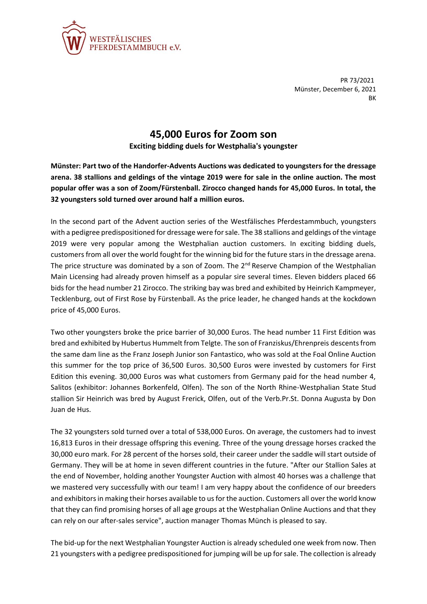

PR 73/2021 Münster, December 6, 2021 BK

## **45,000 Euros for Zoom son**

**Exciting bidding duels for Westphalia's youngster**

**Münster: Part two of the Handorfer-Advents Auctions was dedicated to youngsters for the dressage arena. 38 stallions and geldings of the vintage 2019 were for sale in the online auction. The most popular offer was a son of Zoom/Fürstenball. Zirocco changed hands for 45,000 Euros. In total, the 32 youngsters sold turned over around half a million euros.**

In the second part of the Advent auction series of the Westfälisches Pferdestammbuch, youngsters with a pedigree predispositioned for dressage were for sale. The 38 stallions and geldings of the vintage 2019 were very popular among the Westphalian auction customers. In exciting bidding duels, customers from all over the world fought for the winning bid for the future stars in the dressage arena. The price structure was dominated by a son of Zoom. The  $2<sup>nd</sup>$  Reserve Champion of the Westphalian Main Licensing had already proven himself as a popular sire several times. Eleven bidders placed 66 bids for the head number 21 Zirocco. The striking bay was bred and exhibited by Heinrich Kampmeyer, Tecklenburg, out of First Rose by Fürstenball. As the price leader, he changed hands at the kockdown price of 45,000 Euros.

Two other youngsters broke the price barrier of 30,000 Euros. The head number 11 First Edition was bred and exhibited by Hubertus Hummelt from Telgte. The son of Franziskus/Ehrenpreis descents from the same dam line as the Franz Joseph Junior son Fantastico, who was sold at the Foal Online Auction this summer for the top price of 36,500 Euros. 30,500 Euros were invested by customers for First Edition this evening. 30,000 Euros was what customers from Germany paid for the head number 4, Salitos (exhibitor: Johannes Borkenfeld, Olfen). The son of the North Rhine-Westphalian State Stud stallion Sir Heinrich was bred by August Frerick, Olfen, out of the Verb.Pr.St. Donna Augusta by Don Juan de Hus.

The 32 youngsters sold turned over a total of 538,000 Euros. On average, the customers had to invest 16,813 Euros in their dressage offspring this evening. Three of the young dressage horses cracked the 30,000 euro mark. For 28 percent of the horses sold, their career under the saddle will start outside of Germany. They will be at home in seven different countries in the future. "After our Stallion Sales at the end of November, holding another Youngster Auction with almost 40 horses was a challenge that we mastered very successfully with our team! I am very happy about the confidence of our breeders and exhibitors in making their horses available to us for the auction. Customers all over the world know that they can find promising horses of all age groups at the Westphalian Online Auctions and that they can rely on our after-sales service", auction manager Thomas Münch is pleased to say.

The bid-up for the next Westphalian Youngster Auction is already scheduled one week from now. Then 21 youngsters with a pedigree predispositioned for jumping will be up for sale. The collection is already